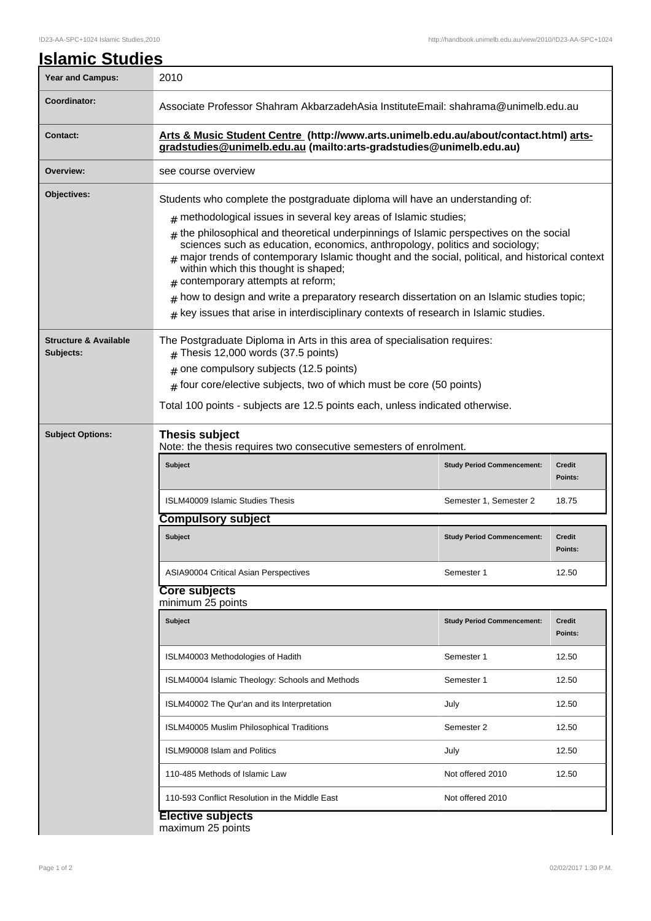| <u><b>Islamic Studies</b></u>                 |                                                                                                                                                                                                                                                                                                                                                                                                                                                                                                                                                                                                                             |                                   |                          |  |  |
|-----------------------------------------------|-----------------------------------------------------------------------------------------------------------------------------------------------------------------------------------------------------------------------------------------------------------------------------------------------------------------------------------------------------------------------------------------------------------------------------------------------------------------------------------------------------------------------------------------------------------------------------------------------------------------------------|-----------------------------------|--------------------------|--|--|
| <b>Year and Campus:</b>                       | 2010                                                                                                                                                                                                                                                                                                                                                                                                                                                                                                                                                                                                                        |                                   |                          |  |  |
| Coordinator:                                  | Associate Professor Shahram AkbarzadehAsia InstituteEmail: shahrama@unimelb.edu.au                                                                                                                                                                                                                                                                                                                                                                                                                                                                                                                                          |                                   |                          |  |  |
| <b>Contact:</b>                               | Arts & Music Student Centre (http://www.arts.unimelb.edu.au/about/contact.html) arts-<br>gradstudies@unimelb.edu.au (mailto:arts-gradstudies@unimelb.edu.au)                                                                                                                                                                                                                                                                                                                                                                                                                                                                |                                   |                          |  |  |
| Overview:                                     | see course overview                                                                                                                                                                                                                                                                                                                                                                                                                                                                                                                                                                                                         |                                   |                          |  |  |
| Objectives:                                   | Students who complete the postgraduate diploma will have an understanding of:<br>$#$ methodological issues in several key areas of Islamic studies;<br>$#$ the philosophical and theoretical underpinnings of Islamic perspectives on the social<br>sciences such as education, economics, anthropology, politics and sociology;<br>$#$ major trends of contemporary Islamic thought and the social, political, and historical context<br>within which this thought is shaped;<br>$#$ contemporary attempts at reform;<br>how to design and write a preparatory research dissertation on an Islamic studies topic;<br>$\pm$ |                                   |                          |  |  |
|                                               | key issues that arise in interdisciplinary contexts of research in Islamic studies.<br>#                                                                                                                                                                                                                                                                                                                                                                                                                                                                                                                                    |                                   |                          |  |  |
| <b>Structure &amp; Available</b><br>Subjects: | The Postgraduate Diploma in Arts in this area of specialisation requires:<br>$#$ Thesis 12,000 words (37.5 points)<br>one compulsory subjects (12.5 points)<br>#<br>$#$ four core/elective subjects, two of which must be core (50 points)<br>Total 100 points - subjects are 12.5 points each, unless indicated otherwise.                                                                                                                                                                                                                                                                                                 |                                   |                          |  |  |
| <b>Subject Options:</b>                       | Thesis subject<br>Note: the thesis requires two consecutive semesters of enrolment.                                                                                                                                                                                                                                                                                                                                                                                                                                                                                                                                         |                                   |                          |  |  |
|                                               | Subject                                                                                                                                                                                                                                                                                                                                                                                                                                                                                                                                                                                                                     | <b>Study Period Commencement:</b> | <b>Credit</b><br>Points: |  |  |
|                                               | ISLM40009 Islamic Studies Thesis                                                                                                                                                                                                                                                                                                                                                                                                                                                                                                                                                                                            | Semester 1, Semester 2            | 18.75                    |  |  |
|                                               | <b>Compulsory subject</b>                                                                                                                                                                                                                                                                                                                                                                                                                                                                                                                                                                                                   |                                   |                          |  |  |
|                                               | <b>Subject</b>                                                                                                                                                                                                                                                                                                                                                                                                                                                                                                                                                                                                              | <b>Study Period Commencement:</b> | Credit<br>Points:        |  |  |
|                                               | ASIA90004 Critical Asian Perspectives                                                                                                                                                                                                                                                                                                                                                                                                                                                                                                                                                                                       | Semester 1                        | 12.50                    |  |  |
|                                               | <b>Core subjects</b><br>minimum 25 points                                                                                                                                                                                                                                                                                                                                                                                                                                                                                                                                                                                   |                                   |                          |  |  |
|                                               | Subject                                                                                                                                                                                                                                                                                                                                                                                                                                                                                                                                                                                                                     | <b>Study Period Commencement:</b> | <b>Credit</b><br>Points: |  |  |
|                                               | ISLM40003 Methodologies of Hadith                                                                                                                                                                                                                                                                                                                                                                                                                                                                                                                                                                                           | Semester 1                        | 12.50                    |  |  |
|                                               | ISLM40004 Islamic Theology: Schools and Methods                                                                                                                                                                                                                                                                                                                                                                                                                                                                                                                                                                             | Semester 1                        | 12.50                    |  |  |
|                                               | ISLM40002 The Qur'an and its Interpretation                                                                                                                                                                                                                                                                                                                                                                                                                                                                                                                                                                                 | July                              | 12.50                    |  |  |
|                                               | ISLM40005 Muslim Philosophical Traditions                                                                                                                                                                                                                                                                                                                                                                                                                                                                                                                                                                                   | Semester 2                        | 12.50                    |  |  |
|                                               | ISLM90008 Islam and Politics                                                                                                                                                                                                                                                                                                                                                                                                                                                                                                                                                                                                | July                              | 12.50                    |  |  |
|                                               | 110-485 Methods of Islamic Law                                                                                                                                                                                                                                                                                                                                                                                                                                                                                                                                                                                              | Not offered 2010                  | 12.50                    |  |  |
|                                               | 110-593 Conflict Resolution in the Middle East                                                                                                                                                                                                                                                                                                                                                                                                                                                                                                                                                                              | Not offered 2010                  |                          |  |  |
|                                               |                                                                                                                                                                                                                                                                                                                                                                                                                                                                                                                                                                                                                             |                                   |                          |  |  |

**Elective subjects**

maximum 25 points